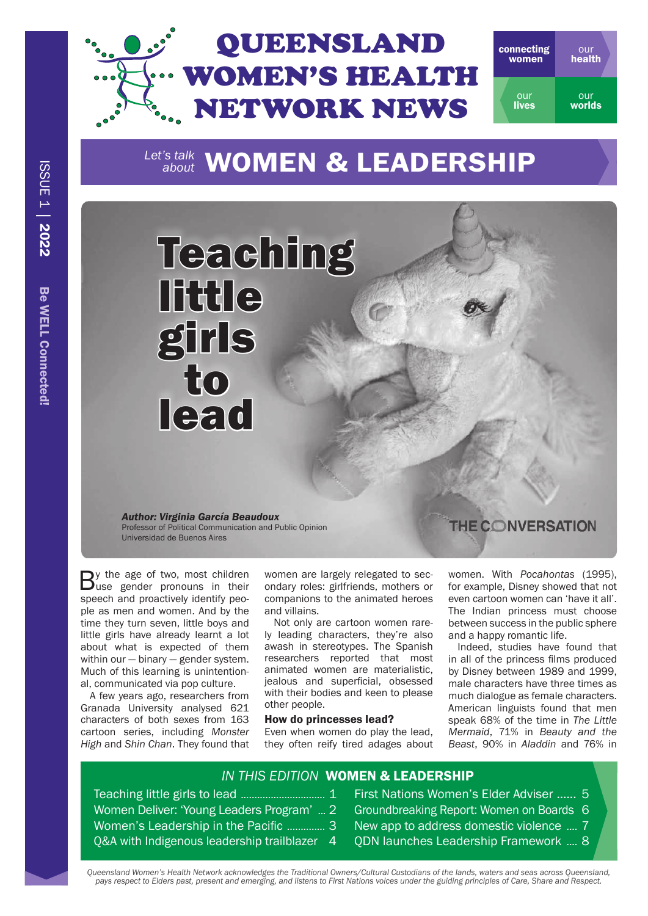

# WOMEN & LEADERSHIP *Let's talk about*

**Teaching** little girls to lead

*Author: Virginia García Beaudoux*  Professor of Political Communication and Public Opinion Universidad de Buenos Aires

 $B$ y the age of two, most children use gender pronouns in their speech and proactively identify people as men and women. And by the time they turn seven, little boys and little girls have already learnt a lot about what is expected of them within our — binary — gender system. Much of this learning is unintentional, communicated via pop culture.

A few years ago, researchers from Granada University analysed 621 characters of both sexes from 163 cartoon series, including *Monster High* and *Shin Chan*. They found that women are largely relegated to secondary roles: girlfriends, mothers or companions to the animated heroes and villains.

Not only are cartoon women rarely leading characters, they're also awash in stereotypes. The Spanish researchers reported that most animated women are materialistic, jealous and superficial, obsessed with their bodies and keen to please other people.

### How do princesses lead?

Even when women do play the lead, they often reify tired adages about

women. With *Pocahontas* (1995), for example, Disney showed that not even cartoon women can 'have it all'. The Indian princess must choose between success in the public sphere and a happy romantic life.

**THE CONVERSATION** 

Indeed, studies have found that in all of the princess films produced by Disney between 1989 and 1999, male characters have three times as much dialogue as female characters. American linguists found that men speak 68% of the time in *The Little Mermaid*, 71% in *Beauty and the Beast*, 90% in *Aladdin* and 76% in

### *IN THIS EDITION* WOMEN & LEADERSHIP

- Teaching little girls to lead ............................... 1
- Women Deliver: 'Young Leaders Program' ... 2
- Women's Leadership in the Pacific .............. 3
- 0&A with Indigenous leadership trailblazer 4
- First Nations Women's Elder Adviser ...... 5
- Groundbreaking Report: Women on Boards 6
- New app to address domestic violence .... 7
- QDN launches Leadership Framework .... 8

*Queensland Women's Health Network acknowledges the Traditional Owners/Cultural Custodians of the lands, waters and seas across Queensland, pays respect to Elders past, present and emerging, and listens to First Nations voices under the guiding principles of Care, Share and Respect.*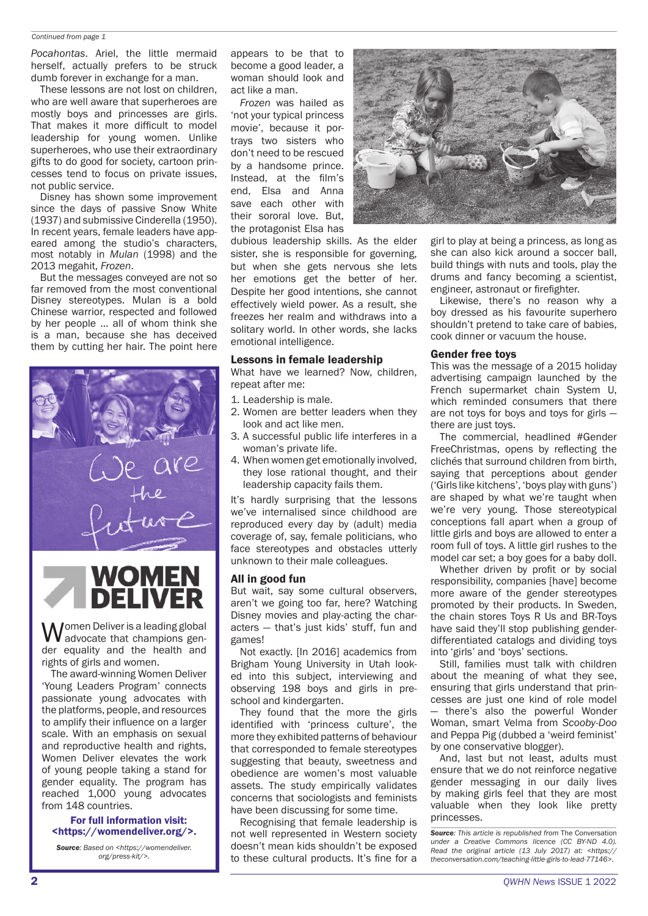#### *Continued from page 1*

*Pocahontas*. Ariel, the little mermaid herself, actually prefers to be struck dumb forever in exchange for a man.

These lessons are not lost on children, who are well aware that superheroes are mostly boys and princesses are girls. That makes it more difficult to model leadership for young women. Unlike superheroes, who use their extraordinary gifts to do good for society, cartoon princesses tend to focus on private issues, not public service.

Disney has shown some improvement since the days of passive Snow White (1937) and submissive Cinderella (1950). In recent years, female leaders have appeared among the studio's characters, most notably in *Mulan* (1998) and the 2013 megahit, *Frozen*.

But the messages conveyed are not so far removed from the most conventional Disney stereotypes. Mulan is a bold Chinese warrior, respected and followed by her people … all of whom think she is a man, because she has deceived them by cutting her hair. The point here





Women Deliver is a leading global<br>day occupity and the booking and der equality and the health and rights of girls and women.

The award-winning Women Deliver 'Young Leaders Program' connects passionate young advocates with the platforms, people, and resources to amplify their influence on a larger scale. With an emphasis on sexual and reproductive health and rights, Women Deliver elevates the work of young people taking a stand for gender equality. The program has reached 1,000 young advocates from 148 countries.

### For full information visit: <https://womendeliver.org/>.

*Source: Based on <https://womendeliver. org/press-kit/>.*

appears to be that to become a good leader, a woman should look and act like a man.

*Frozen* was hailed as 'not your typical princess movie', because it portrays two sisters who don't need to be rescued by a handsome prince. Instead, at the film's end, Elsa and Anna save each other with their sororal love. But, the protagonist Elsa has

dubious leadership skills. As the elder sister, she is responsible for governing, but when she gets nervous she lets her emotions get the better of her. Despite her good intentions, she cannot effectively wield power. As a result, she freezes her realm and withdraws into a solitary world. In other words, she lacks emotional intelligence.

#### Lessons in female leadership

What have we learned? Now, children, repeat after me:

- 1. Leadership is male.
- 2. Women are better leaders when they look and act like men.
- 3. A successful public life interferes in a woman's private life.
- 4. When women get emotionally involved, they lose rational thought, and their leadership capacity fails them.

It's hardly surprising that the lessons we've internalised since childhood are reproduced every day by (adult) media coverage of, say, female politicians, who face stereotypes and obstacles utterly unknown to their male colleagues.

#### All in good fun

But wait, say some cultural observers, aren't we going too far, here? Watching Disney movies and play-acting the characters — that's just kids' stuff, fun and games!

Not exactly. [In 2016] academics from Brigham Young University in Utah looked into this subject, interviewing and observing 198 boys and girls in preschool and kindergarten.

They found that the more the girls identified with 'princess culture', the more they exhibited patterns of behaviour that corresponded to female stereotypes suggesting that beauty, sweetness and obedience are women's most valuable assets. The study empirically validates concerns that sociologists and feminists have been discussing for some time.

Recognising that female leadership is not well represented in Western society doesn't mean kids shouldn't be exposed to these cultural products. It's fine for a



girl to play at being a princess, as long as she can also kick around a soccer ball, build things with nuts and tools, play the drums and fancy becoming a scientist, engineer, astronaut or firefighter.

Likewise, there's no reason why a boy dressed as his favourite superhero shouldn't pretend to take care of babies, cook dinner or vacuum the house.

#### Gender free toys

This was the message of a 2015 holiday advertising campaign launched by the French supermarket chain System U, which reminded consumers that there are not toys for boys and toys for girls there are just toys.

The commercial, headlined #Gender FreeChristmas, opens by reflecting the clichés that surround children from birth, saying that perceptions about gender ('Girls like kitchens', 'boys play with guns') are shaped by what we're taught when we're very young. Those stereotypical conceptions fall apart when a group of little girls and boys are allowed to enter a room full of toys. A little girl rushes to the model car set; a boy goes for a baby doll.

Whether driven by profit or by social responsibility, companies [have] become more aware of the gender stereotypes promoted by their products. In Sweden, the chain stores Toys R Us and BR-Toys have said they'll stop publishing genderdifferentiated catalogs and dividing toys into 'girls' and 'boys' sections.

Still, families must talk with children about the meaning of what they see, ensuring that girls understand that princesses are just one kind of role model — there's also the powerful Wonder Woman, smart Velma from *Scooby-Doo*  and Peppa Pig (dubbed a 'weird feminist' by one conservative blogger).

And, last but not least, adults must ensure that we do not reinforce negative gender messaging in our daily lives by making girls feel that they are most valuable when they look like pretty princesses.

**Source**: This article is republished from The Conversation *under a Creative Commons licence (CC BY-ND 4.0). Read the original article (13 July 2017) at: <https:// theconversation.com/teaching-little-girls-to-lead-77146>.*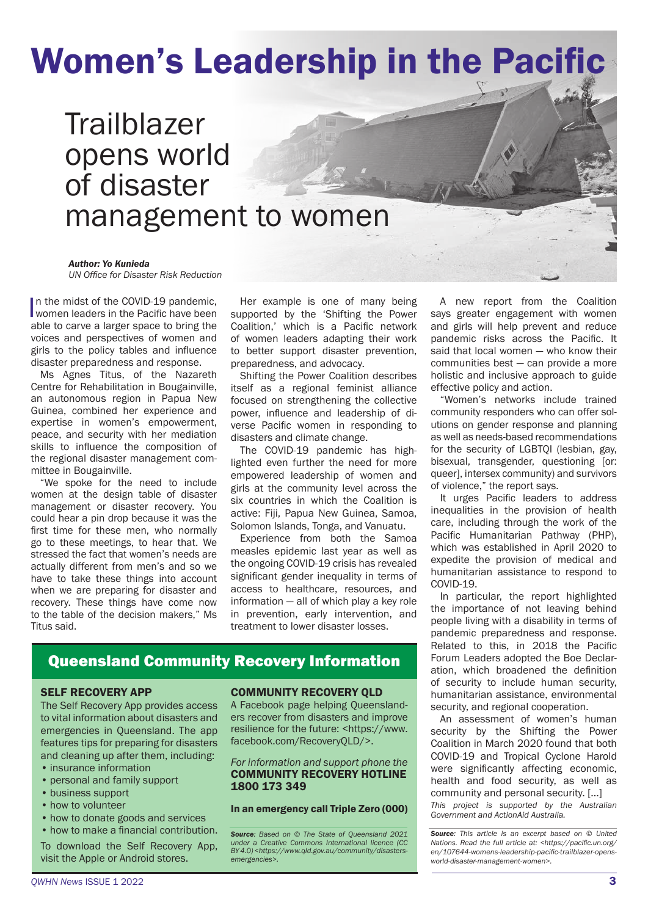# Women's Leadership in the Pacific

# **Trailblazer** opens world of disaster management to women

*Author: Yo Kunieda UN Office for Disaster Risk Reduction* 

In the midst of the COVID-19 pandemic,<br>women leaders in the Pacific have been<br>able to example large appear to bring the In the midst of the COVID-19 pandemic. able to carve a larger space to bring the voices and perspectives of women and girls to the policy tables and influence disaster preparedness and response.

Ms Agnes Titus, of the Nazareth Centre for Rehabilitation in Bougainville, an autonomous region in Papua New Guinea, combined her experience and expertise in women's empowerment, peace, and security with her mediation skills to influence the composition of the regional disaster management committee in Bougainville.

"We spoke for the need to include women at the design table of disaster management or disaster recovery. You could hear a pin drop because it was the first time for these men, who normally go to these meetings, to hear that. We stressed the fact that women's needs are actually different from men's and so we have to take these things into account when we are preparing for disaster and recovery. These things have come now to the table of the decision makers," Ms Titus said.

Her example is one of many being supported by the 'Shifting the Power Coalition,' which is a Pacific network of women leaders adapting their work to better support disaster prevention, preparedness, and advocacy.

Shifting the Power Coalition describes itself as a regional feminist alliance focused on strengthening the collective power, influence and leadership of diverse Pacific women in responding to disasters and climate change.

The COVID-19 pandemic has highlighted even further the need for more empowered leadership of women and girls at the community level across the six countries in which the Coalition is active: Fiji, Papua New Guinea, Samoa, Solomon Islands, Tonga, and Vanuatu.

Experience from both the Samoa measles epidemic last year as well as the ongoing COVID-19 crisis has revealed significant gender inequality in terms of access to healthcare, resources, and information — all of which play a key role in prevention, early intervention, and treatment to lower disaster losses.

Queensland Community Recovery Information

### SELF RECOVERY APP

The Self Recovery App provides access to vital information about disasters and emergencies in Queensland. The app features tips for preparing for disasters and cleaning up after them, including:

- insurance information
- personal and family support
- business support
- how to volunteer
- how to donate goods and services
- how to make a financial contribution.

To download the Self Recovery App, visit the Apple or Android stores.

### COMMUNITY RECOVERY QLD

A Facebook page helping Queenslanders recover from disasters and improve resilience for the future: <https://www. facebook.com/RecoveryQLD/>.

### *For information and support phone the* COMMUNITY RECOVERY HOTLINE 1800 173 349

### In an emergency call Triple Zero (000)

*Source: Based on © The State of Queensland 2021 under a Creative Commons International licence (CC BY 4.0) <https://www.qld.gov.au/community/disastersemergencies>.* 

A new report from the Coalition says greater engagement with women and girls will help prevent and reduce pandemic risks across the Pacific. It said that local women — who know their communities best — can provide a more holistic and inclusive approach to guide effective policy and action.

"Women's networks include trained community responders who can offer solutions on gender response and planning as well as needs-based recommendations for the security of LGBTQI (lesbian, gay, bisexual, transgender, questioning [or: queer], intersex community) and survivors of violence," the report says.

It urges Pacific leaders to address inequalities in the provision of health care, including through the work of the Pacific Humanitarian Pathway (PHP), which was established in April 2020 to expedite the provision of medical and humanitarian assistance to respond to COVID-19.

In particular, the report highlighted the importance of not leaving behind people living with a disability in terms of pandemic preparedness and response. Related to this, in 2018 the Pacific Forum Leaders adopted the Boe Declaration, which broadened the definition of security to include human security, humanitarian assistance, environmental security, and regional cooperation.

An assessment of women's human security by the Shifting the Power Coalition in March 2020 found that both COVID-19 and Tropical Cyclone Harold were significantly affecting economic, health and food security, as well as community and personal security. [...] *This project is supported by the Australian Government and ActionAid Australia.*

*Source: This article is an excerpt based on © United Nations. Read the full article at: <https://pacific.un.org/ en/107644-womens-leadership-pacific-trailblazer-opensworld-disaster-management-women>.*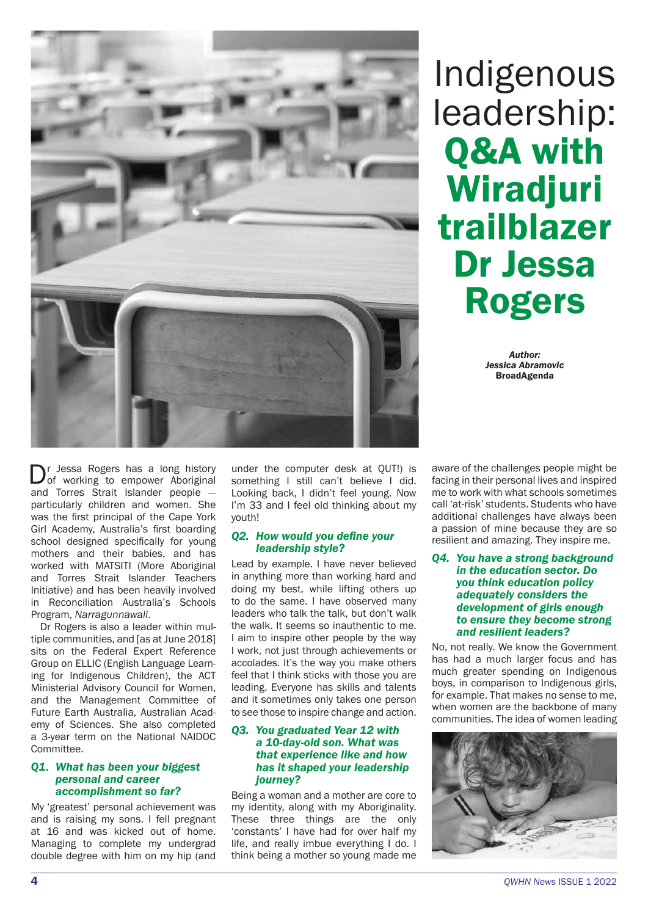

Indigenous leadership: Q&A with Wiradjuri trailblazer Dr Jessa Rogers

> *Author: Jessica Abramovic*  BroadAgenda

Dr Jessa Rogers has a long history<br>
of working to empower Aboriginal<br>
and Texas Strait Islander assals and Torres Strait Islander people particularly children and women. She was the first principal of the Cape York Girl Academy, Australia's first boarding school designed specifically for young mothers and their babies, and has worked with MATSITI (More Aboriginal and Torres Strait Islander Teachers Initiative) and has been heavily involved in Reconciliation Australia's Schools Program, *Narragunnawali*.

Dr Rogers is also a leader within multiple communities, and [as at June 2018] sits on the Federal Expert Reference Group on ELLIC (English Language Learning for Indigenous Children), the ACT Ministerial Advisory Council for Women, and the Management Committee of Future Earth Australia, Australian Academy of Sciences. She also completed a 3-year term on the National NAIDOC Committee.

### *Q1. What has been your biggest personal and career accomplishment so far?*

My 'greatest' personal achievement was and is raising my sons. I fell pregnant at 16 and was kicked out of home. Managing to complete my undergrad double degree with him on my hip (and

under the computer desk at QUT!) is something I still can't believe I did. Looking back, I didn't feel young. Now I'm 33 and I feel old thinking about my youth!

### *Q2. How would you define your leadership style?*

Lead by example. I have never believed in anything more than working hard and doing my best, while lifting others up to do the same. I have observed many leaders who talk the talk, but don't walk the walk. It seems so inauthentic to me. I aim to inspire other people by the way I work, not just through achievements or accolades. It's the way you make others feel that I think sticks with those you are leading. Everyone has skills and talents and it sometimes only takes one person to see those to inspire change and action.

### *Q3. You graduated Year 12 with a 10-day-old son. What was that experience like and how has it shaped your leadership journey?*

Being a woman and a mother are core to my identity, along with my Aboriginality. These three things are the only 'constants' I have had for over half my life, and really imbue everything I do. I think being a mother so young made me

aware of the challenges people might be facing in their personal lives and inspired me to work with what schools sometimes call 'at-risk' students. Students who have additional challenges have always been a passion of mine because they are so resilient and amazing. They inspire me.

### *Q4. You have a strong background in the education sector. Do you think education policy adequately considers the development of girls enough to ensure they become strong and resilient leaders?*

No, not really. We know the Government has had a much larger focus and has much greater spending on Indigenous boys, in comparison to Indigenous girls, for example. That makes no sense to me, when women are the backbone of many communities. The idea of women leading

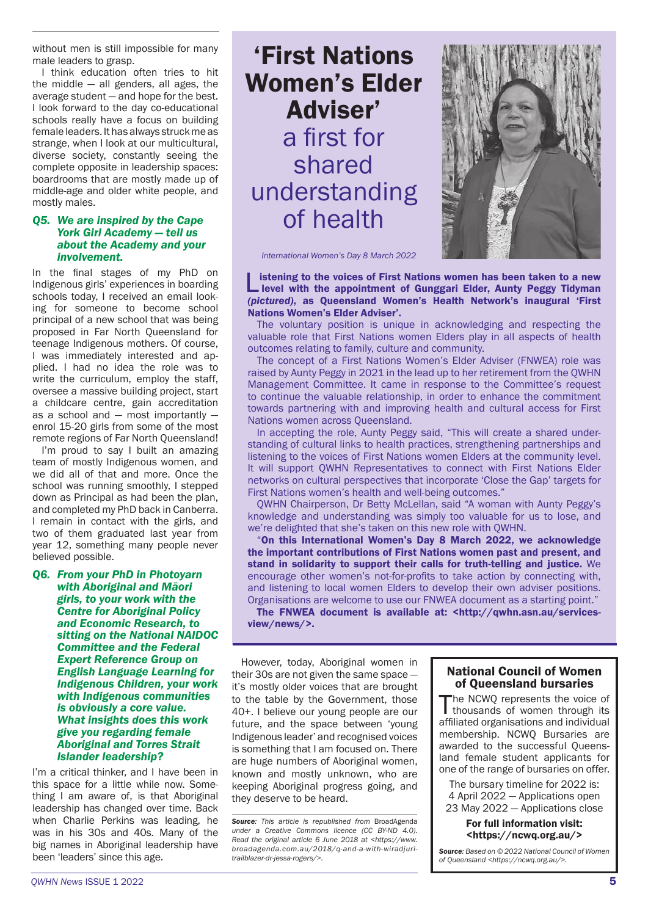without men is still impossible for many male leaders to grasp.

I think education often tries to hit the middle — all genders, all ages, the average student — and hope for the best. I look forward to the day co-educational schools really have a focus on building female leaders. It has always struck me as strange, when I look at our multicultural. diverse society, constantly seeing the complete opposite in leadership spaces: boardrooms that are mostly made up of middle-age and older white people, and mostly males.

### *Q5. We are inspired by the Cape York Girl Academy — tell us about the Academy and your involvement.*

In the final stages of my PhD on Indigenous girls' experiences in boarding schools today, I received an email looking for someone to become school principal of a new school that was being proposed in Far North Queensland for teenage Indigenous mothers. Of course, I was immediately interested and applied. I had no idea the role was to write the curriculum, employ the staff, oversee a massive building project, start a childcare centre, gain accreditation as a school and — most importantly enrol 15-20 girls from some of the most remote regions of Far North Queensland!

I'm proud to say I built an amazing team of mostly Indigenous women, and we did all of that and more. Once the school was running smoothly, I stepped down as Principal as had been the plan, and completed my PhD back in Canberra. I remain in contact with the girls, and two of them graduated last year from year 12, something many people never believed possible.

*Q6. From your PhD in Photoyarn with Aboriginal and Māori girls, to your work with the Centre for Aboriginal Policy and Economic Research, to sitting on the National NAIDOC Committee and the Federal Expert Reference Group on English Language Learning for Indigenous Children, your work with Indigenous communities is obviously a core value. What insights does this work give you regarding female Aboriginal and Torres Strait Islander leadership?*

I'm a critical thinker, and I have been in this space for a little while now. Something I am aware of, is that Aboriginal leadership has changed over time. Back when Charlie Perkins was leading, he was in his 30s and 40s. Many of the big names in Aboriginal leadership have been 'leaders' since this age.

'First Nations Women's Elder Adviser' a first for shared understanding of health



*International Women's Day 8 March 2022*

istening to the voices of First Nations women has been taken to a new level with the appointment of Gunggari Elder, Aunty Peggy Tidyman *(pictured)*, as Queensland Women's Health Network's inaugural 'First Nations Women's Elder Adviser'.

The voluntary position is unique in acknowledging and respecting the valuable role that First Nations women Elders play in all aspects of health outcomes relating to family, culture and community.

The concept of a First Nations Women's Elder Adviser (FNWEA) role was raised by Aunty Peggy in 2021 in the lead up to her retirement from the QWHN Management Committee. It came in response to the Committee's request to continue the valuable relationship, in order to enhance the commitment towards partnering with and improving health and cultural access for First Nations women across Queensland.

In accepting the role, Aunty Peggy said, "This will create a shared understanding of cultural links to health practices, strengthening partnerships and listening to the voices of First Nations women Elders at the community level. It will support QWHN Representatives to connect with First Nations Elder networks on cultural perspectives that incorporate 'Close the Gap' targets for First Nations women's health and well-being outcomes."

QWHN Chairperson, Dr Betty McLellan, said "A woman with Aunty Peggy's knowledge and understanding was simply too valuable for us to lose, and we're delighted that she's taken on this new role with QWHN.

"On this International Women's Day 8 March 2022, we acknowledge the important contributions of First Nations women past and present, and stand in solidarity to support their calls for truth-telling and justice. We encourage other women's not-for-profits to take action by connecting with, and listening to local women Elders to develop their own adviser positions. Organisations are welcome to use our FNWEA document as a starting point."

The FNWEA document is available at: <http://qwhn.asn.au/servicesview/news/>.

However, today, Aboriginal women in their 30s are not given the same space it's mostly older voices that are brought to the table by the Government, those 40+. I believe our young people are our future, and the space between 'young Indigenous leader' and recognised voices is something that I am focused on. There are huge numbers of Aboriginal women, known and mostly unknown, who are keeping Aboriginal progress going, and they deserve to be heard.

*Source: This article is republished from* BroadAgenda *under a Creative Commons licence (CC BY-ND 4.0). Read the original article 6 June 2018 at <https://www. broadagenda.com.au/2018/q-and-a-with-wiradjuritrailblazer-dr-jessa-rogers/>.* 

### National Council of Women of Queensland bursaries

The NCWQ represents the voice of<br>thousands of women through its<br>official examinations and individual affiliated organisations and individual membership. NCWQ Bursaries are awarded to the successful Queensland female student applicants for one of the range of bursaries on offer.

The bursary timeline for 2022 is: 4 April 2022 — Applications open 23 May 2022 — Applications close

> For full information visit: <https://ncwq.org.au/>

*Source: Based on © 2022 National Council of Women of Queensland <https://ncwq.org.au/>.*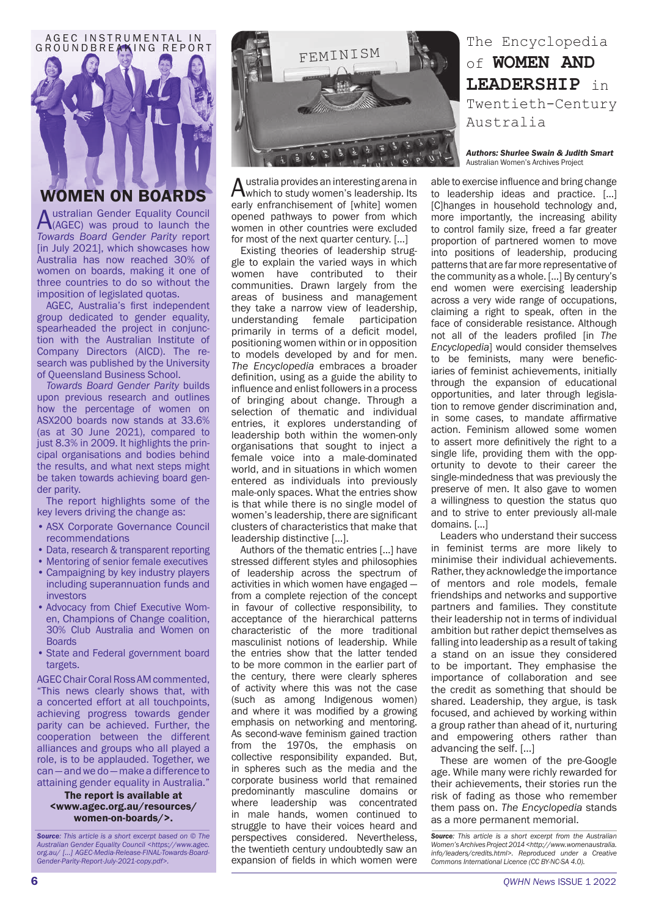AGEC INSTRUMENTAL IN GROUNDBREAKING REPORT

### WOMEN ON BOARDS

**A**ustralian Gender Equality Council<br>
(AGEC) was proud to launch the<br>
Towards Board Conder Barity report *Towards Board Gender Parity* report [in July 2021], which showcases how Australia has now reached 30% of women on boards, making it one of three countries to do so without the imposition of legislated quotas.

AGEC, Australia's first independent group dedicated to gender equality, spearheaded the project in conjunction with the Australian Institute of Company Directors (AICD). The research was published by the University of Queensland Business School.

*Towards Board Gender Parity* builds upon previous research and outlines how the percentage of women on ASX200 boards now stands at 33.6% (as at 30 June 2021), compared to just 8.3% in 2009. It highlights the principal organisations and bodies behind the results, and what next steps might be taken towards achieving board gender parity.

The report highlights some of the key levers driving the change as:

- ASX Corporate Governance Council recommendations
- Data, research & transparent reporting
- Mentoring of senior female executives
- Campaigning by key industry players including superannuation funds and investors
- Advocacy from Chief Executive Women, Champions of Change coalition, 30% Club Australia and Women on Boards
- State and Federal government board targets.

AGEC Chair Coral Ross AM commented, "This news clearly shows that, with a concerted effort at all touchpoints, achieving progress towards gender parity can be achieved. Further, the cooperation between the different alliances and groups who all played a role, is to be applauded. Together, we can — and we do — make a difference to attaining gender equality in Australia."

#### The report is available at <www.agec.org.au/resources/ women-on-boards/>.

*Source: This article is a short excerpt based on © The Australian Gender Equality Council <https://www.agec. org.au/ [...] AGEC-Media-Release-FINAL-Towards-Board-Gender-Parity-Report-July-2021-copy.pdf>.*



Australia provides an interesting arena in<br>which to study women's leadership. Its early enfranchisement of [white] women opened pathways to power from which women in other countries were excluded for most of the next quarter century. […]

Existing theories of leadership struggle to explain the varied ways in which women have contributed to their communities. Drawn largely from the areas of business and management they take a narrow view of leadership,<br>understanding female participation understanding primarily in terms of a deficit model, positioning women within or in opposition to models developed by and for men. *The Encyclopedia* embraces a broader definition, using as a guide the ability to influence and enlist followers in a process of bringing about change. Through a selection of thematic and individual entries, it explores understanding of leadership both within the women-only organisations that sought to inject a female voice into a male-dominated world, and in situations in which women entered as individuals into previously male-only spaces. What the entries show is that while there is no single model of women's leadership, there are significant clusters of characteristics that make that leadership distinctive […].

Authors of the thematic entries […] have stressed different styles and philosophies of leadership across the spectrum of activities in which women have engaged from a complete rejection of the concept in favour of collective responsibility, to acceptance of the hierarchical patterns characteristic of the more traditional masculinist notions of leadership. While the entries show that the latter tended to be more common in the earlier part of the century, there were clearly spheres of activity where this was not the case (such as among Indigenous women) and where it was modified by a growing emphasis on networking and mentoring. As second-wave feminism gained traction from the 1970s, the emphasis on collective responsibility expanded. But, in spheres such as the media and the corporate business world that remained predominantly masculine domains or where leadership was concentrated in male hands, women continued to struggle to have their voices heard and perspectives considered. Nevertheless, the twentieth century undoubtedly saw an expansion of fields in which women were

### The Encyclopedia of **WOMEN AND LEADERSHIP** in Twentieth-Century Australia

*Authors: Shurlee Swain & Judith Smart* Australian Women's Archives Project

able to exercise influence and bring change to leadership ideas and practice. [...] [C]hanges in household technology and, more importantly, the increasing ability to control family size, freed a far greater proportion of partnered women to move into positions of leadership, producing patterns that are far more representative of the community as a whole. [...] By century's end women were exercising leadership across a very wide range of occupations, claiming a right to speak, often in the face of considerable resistance. Although not all of the leaders profiled [in *The Encyclopedia*] would consider themselves to be feminists, many were beneficiaries of feminist achievements, initially through the expansion of educational opportunities, and later through legislation to remove gender discrimination and, in some cases, to mandate affirmative action. Feminism allowed some women to assert more definitively the right to a single life, providing them with the opportunity to devote to their career the single-mindedness that was previously the preserve of men. It also gave to women a willingness to question the status quo and to strive to enter previously all-male domains. [...]

Leaders who understand their success in feminist terms are more likely to minimise their individual achievements. Rather, they acknowledge the importance of mentors and role models, female friendships and networks and supportive partners and families. They constitute their leadership not in terms of individual ambition but rather depict themselves as falling into leadership as a result of taking a stand on an issue they considered to be important. They emphasise the importance of collaboration and see the credit as something that should be shared. Leadership, they argue, is task focused, and achieved by working within a group rather than ahead of it, nurturing and empowering others rather than advancing the self. [...]

These are women of the pre-Google age. While many were richly rewarded for their achievements, their stories run the risk of fading as those who remember them pass on. *The Encyclopedia* stands as a more permanent memorial.

*Source: This article is a short excerpt from the Australian Women's Archives Project 2014 <http://www.womenaustralia. info/leaders/credits.html>. Reproduced under a Creative Commons International Licence (CC BY-NC-SA 4.0).*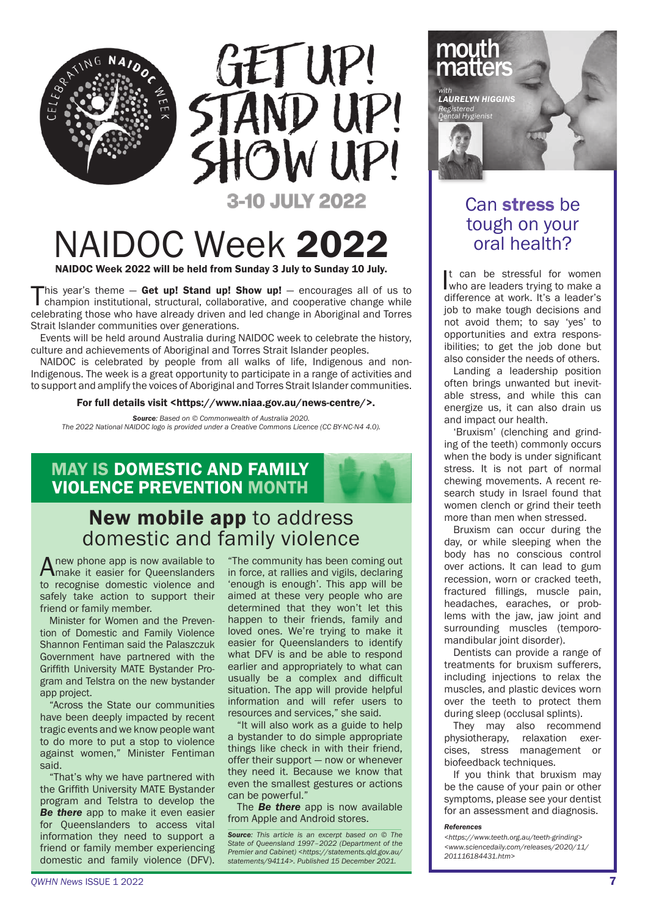



### NAIDOC Week 2022 NAIDOC Week 2022 will be held from Sunday 3 July to Sunday 10 July.

This year's theme  $-$  Get up! Stand up! Show up!  $-$  encourages all of us to champion institutional, structural, collaborative, and cooperative change while celebrating those who have already driven and led change in Aboriginal and Torres Strait Islander communities over generations.

Events will be held around Australia during NAIDOC week to celebrate the history, culture and achievements of Aboriginal and Torres Strait Islander peoples.

NAIDOC is celebrated by people from all walks of life, Indigenous and non-Indigenous. The week is a great opportunity to participate in a range of activities and to support and amplify the voices of Aboriginal and Torres Strait Islander communities.

For full details visit <https://www.niaa.gov.au/news-centre/>.

*Source: Based on © Commonwealth of Australia 2020. The 2022 National NAIDOC logo is provided under a Creative Commons Licence (CC BY-NC-N4 4.0).* 

### MAY IS DOMESTIC AND FAMILY VIOLENCE PREVENTION MONTH

### New mobile app to address domestic and family violence

A new phone app is now available to<br>A make it easier for Queenslanders to recognise domestic violence and safely take action to support their friend or family member.

Minister for Women and the Prevention of Domestic and Family Violence Shannon Fentiman said the Palaszczuk Government have partnered with the Griffith University MATE Bystander Program and Telstra on the new bystander app project.

"Across the State our communities have been deeply impacted by recent tragic events and we know people want to do more to put a stop to violence against women," Minister Fentiman said.

"That's why we have partnered with the Griffith University MATE Bystander program and Telstra to develop the *Be there* app to make it even easier for Queenslanders to access vital information they need to support a friend or family member experiencing domestic and family violence (DFV).

"The community has been coming out in force, at rallies and vigils, declaring 'enough is enough'. This app will be aimed at these very people who are determined that they won't let this happen to their friends, family and loved ones. We're trying to make it easier for Queenslanders to identify what DFV is and be able to respond earlier and appropriately to what can usually be a complex and difficult situation. The app will provide helpful information and will refer users to resources and services," she said.

"It will also work as a guide to help a bystander to do simple appropriate things like check in with their friend, offer their support — now or whenever they need it. Because we know that even the smallest gestures or actions can be powerful."

The *Be there* app is now available from Apple and Android stores.

*Source: This article is an excerpt based on © The State of Queensland 1997–2022 (Department of the Premier and Cabinet) <https://statements.qld.gov.au/ statements/94114>. Published 15 December 2021.*

![](_page_6_Picture_18.jpeg)

### Can stress be tough on your oral health?

It can be stressful for women<br>who are leaders trying to make a<br>difference of work this a loader's t can be stressful for women difference at work. It's a leader's job to make tough decisions and not avoid them; to say 'yes' to opportunities and extra responsibilities; to get the job done but also consider the needs of others.

Landing a leadership position often brings unwanted but inevitable stress, and while this can energize us, it can also drain us and impact our health.

'Bruxism' (clenching and grinding of the teeth) commonly occurs when the body is under significant stress. It is not part of normal chewing movements. A recent research study in Israel found that women clench or grind their teeth more than men when stressed.

Bruxism can occur during the day, or while sleeping when the body has no conscious control over actions. It can lead to gum recession, worn or cracked teeth, fractured fillings, muscle pain, headaches, earaches, or problems with the jaw, jaw joint and surrounding muscles (temporomandibular joint disorder).

Dentists can provide a range of treatments for bruxism sufferers, including injections to relax the muscles, and plastic devices worn over the teeth to protect them during sleep (occlusal splints).

They may also recommend physiotherapy, relaxation exercises, stress management or biofeedback techniques.

If you think that bruxism may be the cause of your pain or other symptoms, please see your dentist for an assessment and diagnosis.

#### *References*

*<https://www.teeth.org.au/teeth-grinding> <www.sciencedaily.com/releases/2020/11/ 201116184431.htm>*